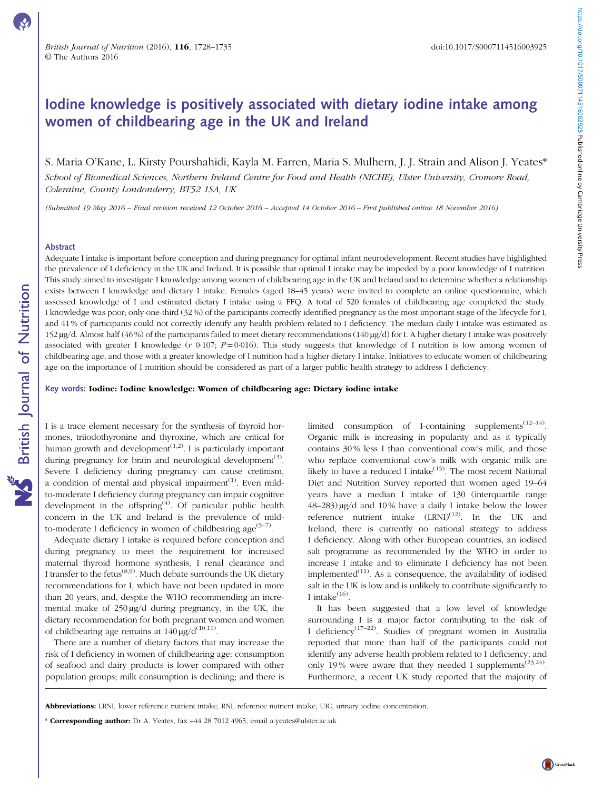# Iodine knowledge is positively associated with dietary iodine intake among women of childbearing age in the UK and Ireland

S. Maria O'Kane, L. Kirsty Pourshahidi, Kayla M. Farren, Maria S. Mulhern, J. J. Strain and Alison J. Yeates\* School of Biomedical Sciences, Northern Ireland Centre for Food and Health (NICHE), Ulster University, Cromore Road, Coleraine, County Londonderry, BT52 1SA, UK

(Submitted 19 May 2016 – Final revision received 12 October 2016 – Accepted 14 October 2016 – First published online 18 November 2016)

#### Abstract

**NS** British Journal of Nutrition

Adequate I intake is important before conception and during pregnancy for optimal infant neurodevelopment. Recent studies have highlighted the prevalence of I deficiency in the UK and Ireland. It is possible that optimal I intake may be impeded by a poor knowledge of I nutrition. This study aimed to investigate I knowledge among women of childbearing age in the UK and Ireland and to determine whether a relationship exists between I knowledge and dietary I intake. Females (aged 18–45 years) were invited to complete an online questionnaire, which assessed knowledge of I and estimated dietary I intake using a FFQ. A total of 520 females of childbearing age completed the study. I knowledge was poor; only one-third (32 %) of the participants correctly identified pregnancy as the most important stage of the lifecycle for I, and 41% of participants could not correctly identify any health problem related to I deficiency. The median daily I intake was estimated as 152 µg/d. Almost half (46 %) of the participants failed to meet dietary recommendations (140 µg/d) for I. A higher dietary I intake was positively associated with greater I knowledge  $(r 0.107; P=0.016)$ . This study suggests that knowledge of I nutrition is low among women of childbearing age, and those with a greater knowledge of I nutrition had a higher dietary I intake. Initiatives to educate women of childbearing age on the importance of I nutrition should be considered as part of a larger public health strategy to address I deficiency.

Key words: Iodine: Iodine knowledge: Women of childbearing age: Dietary iodine intake

I is a trace element necessary for the synthesis of thyroid hormones, triiodothyronine and thyroxine, which are critical for human growth and development<sup> $(1,2)$ </sup>. I is particularly important during pregnancy for brain and neurological development<sup>[\(3\)](#page-6-0)</sup>. Severe I deficiency during pregnancy can cause cretinism, a condition of mental and physical impairment<sup> $(1)$  $(1)$  $(1)$ </sup>. Even mildto-moderate I deficiency during pregnancy can impair cognitive development in the offspring<sup>[\(4\)](#page-6-0)</sup>. Of particular public health concern in the UK and Ireland is the prevalence of mildto-moderate I deficiency in women of childbearing age<sup> $(5-7)$  $(5-7)$  $(5-7)$  $(5-7)$ </sup>.

Adequate dietary I intake is required before conception and during pregnancy to meet the requirement for increased maternal thyroid hormone synthesis, I renal clearance and I transfer to the fetus<sup>([8](#page-6-0),[9](#page-6-0))</sup>. Much debate surrounds the UK dietary recommendations for I, which have not been updated in more than 20 years, and, despite the WHO recommending an incremental intake of 250 µg/d during pregnancy, in the UK, the dietary recommendation for both pregnant women and women of childbearing age remains at  $140 \mu g/d^{(10,11)}$  $140 \mu g/d^{(10,11)}$  $140 \mu g/d^{(10,11)}$  $140 \mu g/d^{(10,11)}$  $140 \mu g/d^{(10,11)}$ .

There are a number of dietary factors that may increase the risk of I deficiency in women of childbearing age: consumption of seafood and dairy products is lower compared with other population groups; milk consumption is declining; and there is

limited consumption of I-containing supplements $(12-14)$  $(12-14)$  $(12-14)$  $(12-14)$ . Organic milk is increasing in popularity and as it typically contains 30 % less I than conventional cow's milk, and those who replace conventional cow's milk with organic milk are likely to have a reduced I intake<sup> $(15)$  $(15)$  $(15)$ </sup>. The most recent National Diet and Nutrition Survey reported that women aged 19–64 years have a median I intake of 130 (interquartile range  $(48-283)\mu g/d$  and 10% have a daily I intake below the lower reference nutrient intake  $(LRNI)^{(12)}$  $(LRNI)^{(12)}$  $(LRNI)^{(12)}$ . In the UK and Ireland, there is currently no national strategy to address I deficiency. Along with other European countries, an iodised salt programme as recommended by the WHO in order to increase I intake and to eliminate I deficiency has not been implemented $^{(11)}$  $^{(11)}$  $^{(11)}$ . As a consequence, the availability of iodised salt in the UK is low and is unlikely to contribute significantly to I intake $^{(16)}$  $^{(16)}$  $^{(16)}$ .

It has been suggested that a low level of knowledge surrounding I is a major factor contributing to the risk of I deficiency<sup>([17](#page-6-0)–[22\)](#page-6-0)</sup>. Studies of pregnant women in Australia reported that more than half of the participants could not identify any adverse health problem related to I deficiency, and only 19% were aware that they needed I supplements<sup>([23,24\)](#page-6-0)</sup>. Furthermore, a recent UK study reported that the majority of

\* Corresponding author: Dr A. Yeates, fax +44 28 7012 4965, email [a.yeates@ulster.ac.uk](mailto:a.yeates@ulster.ac.uk)

Abbreviations: LRNI, lower reference nutrient intake; RNI, reference nutrient intake; UIC, urinary iodine concentration.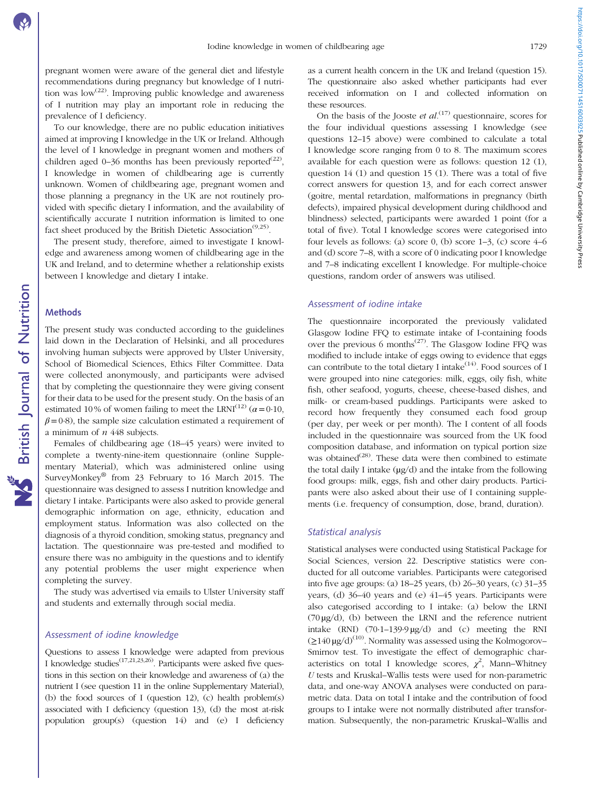pregnant women were aware of the general diet and lifestyle recommendations during pregnancy but knowledge of I nutrition was  $\text{low}^{(22)}$  $\text{low}^{(22)}$  $\text{low}^{(22)}$ . Improving public knowledge and awareness of I nutrition may play an important role in reducing the prevalence of I deficiency.

To our knowledge, there are no public education initiatives aimed at improving I knowledge in the UK or Ireland. Although the level of I knowledge in pregnant women and mothers of children aged 0-36 months has been previously reported<sup>[\(22\)](#page-6-0)</sup>, I knowledge in women of childbearing age is currently unknown. Women of childbearing age, pregnant women and those planning a pregnancy in the UK are not routinely provided with specific dietary I information, and the availability of scientifically accurate I nutrition information is limited to one fact sheet produced by the British Dietetic Association<sup>([9](#page-6-0),[25\)](#page-6-0)</sup>.

The present study, therefore, aimed to investigate I knowledge and awareness among women of childbearing age in the UK and Ireland, and to determine whether a relationship exists between I knowledge and dietary I intake.

## **Methods**

The present study was conducted according to the guidelines laid down in the Declaration of Helsinki, and all procedures involving human subjects were approved by Ulster University, School of Biomedical Sciences, Ethics Filter Committee. Data were collected anonymously, and participants were advised that by completing the questionnaire they were giving consent for their data to be used for the present study. On the basis of an estimated 10% of women failing to meet the LRNI<sup>([12](#page-6-0))</sup> ( $\alpha$  = 0·10,  $\beta$ =0·8), the sample size calculation estimated a requirement of a minimum of  $n$  448 subjects.

Females of childbearing age (18–45 years) were invited to complete a twenty-nine-item questionnaire (online Supplementary Material), which was administered online using SurveyMonkey® from 23 February to 16 March 2015. The questionnaire was designed to assess I nutrition knowledge and dietary I intake. Participants were also asked to provide general demographic information on age, ethnicity, education and employment status. Information was also collected on the diagnosis of a thyroid condition, smoking status, pregnancy and lactation. The questionnaire was pre-tested and modified to ensure there was no ambiguity in the questions and to identify any potential problems the user might experience when completing the survey.

The study was advertised via emails to Ulster University staff and students and externally through social media.

## Assessment of iodine knowledge

Questions to assess I knowledge were adapted from previous I knowledge studies<sup> $(17,21,23,26)$  $(17,21,23,26)$  $(17,21,23,26)$  $(17,21,23,26)$  $(17,21,23,26)$ </sup>. Participants were asked five questions in this section on their knowledge and awareness of (a) the nutrient I (see question 11 in the online Supplementary Material), (b) the food sources of I (question 12), (c) health problem(s) associated with I deficiency (question 13), (d) the most at-risk population group(s) (question 14) and (e) I deficiency as a current health concern in the UK and Ireland (question 15). The questionnaire also asked whether participants had ever received information on I and collected information on these resources.

On the basis of the Jooste et  $al^{(17)}$  $al^{(17)}$  $al^{(17)}$  questionnaire, scores for the four individual questions assessing I knowledge (see questions 12–15 above) were combined to calculate a total I knowledge score ranging from 0 to 8. The maximum scores available for each question were as follows: question 12 (1), question 14 (1) and question 15 (1). There was a total of five correct answers for question 13, and for each correct answer (goitre, mental retardation, malformations in pregnancy (birth defects), impaired physical development during childhood and blindness) selected, participants were awarded 1 point (for a total of five). Total I knowledge scores were categorised into four levels as follows: (a) score  $0$ , (b) score  $1-3$ , (c) score  $4-6$ and (d) score 7–8, with a score of 0 indicating poor I knowledge and 7–8 indicating excellent I knowledge. For multiple-choice questions, random order of answers was utilised.

# Assessment of iodine intake

The questionnaire incorporated the previously validated Glasgow Iodine FFQ to estimate intake of I-containing foods over the previous 6 months<sup> $(27)$  $(27)$ </sup>. The Glasgow Iodine FFQ was modified to include intake of eggs owing to evidence that eggs can contribute to the total dietary I intake<sup>[\(14\)](#page-6-0)</sup>. Food sources of I were grouped into nine categories: milk, eggs, oily fish, white fish, other seafood, yogurts, cheese, cheese-based dishes, and milk- or cream-based puddings. Participants were asked to record how frequently they consumed each food group (per day, per week or per month). The I content of all foods included in the questionnaire was sourced from the UK food composition database, and information on typical portion size was obtained<sup>[\(28\)](#page-6-0)</sup>. These data were then combined to estimate the total daily I intake  $(\mu g/d)$  and the intake from the following food groups: milk, eggs, fish and other dairy products. Participants were also asked about their use of I containing supplements (i.e. frequency of consumption, dose, brand, duration).

## Statistical analysis

Statistical analyses were conducted using Statistical Package for Social Sciences, version 22. Descriptive statistics were conducted for all outcome variables. Participants were categorised into five age groups: (a) 18–25 years, (b) 26–30 years, (c) 31–35 years, (d) 36–40 years and (e) 41–45 years. Participants were also categorised according to I intake: (a) below the LRNI  $(70 \mu g/d)$ , (b) between the LRNI and the reference nutrient intake  $(RNI)$   $(70.1-139.9 \mu g/d)$  and (c) meeting the RNI  $(2140 \mu g/d)^{(10)}$  $(2140 \mu g/d)^{(10)}$  $(2140 \mu g/d)^{(10)}$ . Normality was assessed using the Kolmogorov– Smirnov test. To investigate the effect of demographic characteristics on total I knowledge scores,  $\chi^2$ , Mann-Whitney U tests and Kruskal–Wallis tests were used for non-parametric data, and one-way ANOVA analyses were conducted on parametric data. Data on total I intake and the contribution of food groups to I intake were not normally distributed after transformation. Subsequently, the non-parametric Kruskal–Wallis and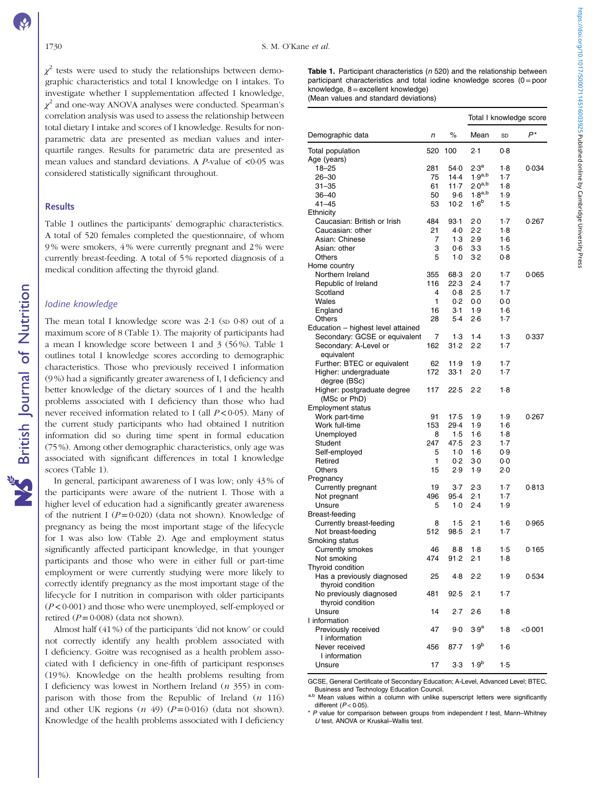$\chi^2$  tests were used to study the relationships between demographic characteristics and total I knowledge on I intakes. To investigate whether I supplementation affected I knowledge,  $\chi^2$  and one-way ANOVA analyses were conducted. Spearman's correlation analysis was used to assess the relationship between total dietary I intake and scores of I knowledge. Results for nonparametric data are presented as median values and interquartile ranges. Results for parametric data are presented as mean values and standard deviations. A P-value of <0·05 was considered statistically significant throughout.

# **Results**

Table 1 outlines the participants' demographic characteristics. A total of 520 females completed the questionnaire, of whom 9 % were smokers, 4 % were currently pregnant and 2 % were currently breast-feeding. A total of 5 % reported diagnosis of a medical condition affecting the thyroid gland.

# Iodine knowledge

The mean total I knowledge score was  $2.1$  (sp  $0.8$ ) out of a maximum score of 8 (Table 1). The majority of participants had a mean I knowledge score between 1 and 3 (56 %). Table 1 outlines total I knowledge scores according to demographic characteristics. Those who previously received I information (9 %) had a significantly greater awareness of I, I deficiency and better knowledge of the dietary sources of I and the health problems associated with I deficiency than those who had never received information related to I (all  $P < 0.05$ ). Many of the current study participants who had obtained I nutrition information did so during time spent in formal education (75 %). Among other demographic characteristics, only age was associated with significant differences in total I knowledge scores (Table 1).

In general, participant awareness of I was low; only 43 % of the participants were aware of the nutrient I. Those with a higher level of education had a significantly greater awareness of the nutrient I  $(P= 0.020)$  (data not shown). Knowledge of pregnancy as being the most important stage of the lifecycle for I was also low [\(Table 2\)](#page-3-0). Age and employment status significantly affected participant knowledge, in that younger participants and those who were in either full or part-time employment or were currently studying were more likely to correctly identify pregnancy as the most important stage of the lifecycle for I nutrition in comparison with older participants  $(P<0.001)$  and those who were unemployed, self-employed or retired  $(P= 0.008)$  (data not shown).

Almost half (41 %) of the participants 'did not know' or could not correctly identify any health problem associated with I deficiency. Goitre was recognised as a health problem associated with I deficiency in one-fifth of participant responses (19 %). Knowledge on the health problems resulting from I deficiency was lowest in Northern Ireland  $(n, 355)$  in comparison with those from the Republic of Ireland  $(n 116)$ and other UK regions  $(n\ 49)$   $(P=0.016)$  (data not shown). Knowledge of the health problems associated with I deficiency **Table 1.** Participant characteristics ( $n$  520) and the relationship between participant characteristics and total iodine knowledge scores  $(0=$  poor  $k$ nowledge,  $8$  = excellent knowledge)

(Mean values and standard deviations)

|                                    |          |                | Total I knowledge score         |              |        |
|------------------------------------|----------|----------------|---------------------------------|--------------|--------|
| Demographic data                   | n        | $\%$           | Mean                            | SD           | P*     |
| Total population                   | 520      | 100            | 2.1                             | 0.8          |        |
| Age (years)                        |          |                |                                 |              |        |
| $18 - 25$                          | 281      | 54.0           | 2.3 <sup>a</sup>                | $1-8$        | 0.034  |
| $26 - 30$                          | 75       | 14.4           | $1.9^{a,b}$                     | $1-7$        |        |
| 31–35                              | 61       | $11-7$         | $2.0^{a,b}$                     | 1.8          |        |
| 36-40                              | 50       | 9.6            | $1.8^{a,b}$<br>1.6 <sup>b</sup> | 1.9          |        |
| $41 - 45$<br>Ethnicity             | 53       | $10-2$         |                                 | 1.5          |        |
| Caucasian: British or Irish        | 484      | 93.1           | $2-0$                           | $1-7$        | 0.267  |
| Caucasian: other                   | 21       | 4.0            | 2.2                             | 1.8          |        |
| Asian: Chinese                     | 7        | $1-3$          | 2.9                             | $1-6$        |        |
| Asian: other                       | 3        | 0.6            | 3.3                             | 1.5          |        |
| Others                             | 5        | 1.0            | 3.2                             | 0.8          |        |
| Home country                       |          |                |                                 |              |        |
| Northern Ireland                   | 355      | 68.3           | 2.0                             | $1-7$        | 0.065  |
| Republic of Ireland                | 116      | 22.3           | 2.4                             | $1-7$        |        |
| Scotland                           | 4        | 0.8            | 2.5                             | $1-7$        |        |
| Wales                              | 1        | 0.2            | 0.0                             | 0.0          |        |
| England                            | 16       | $3-1$          | 1.9                             | 1.6          |        |
| Others                             | 28       | 5.4            | 2.6                             | $1-7$        |        |
| Education - highest level attained |          |                |                                 |              |        |
| Secondary: GCSE or equivalent      | 7        | $1-3$          | 1.4                             | $1-3$        | 0.337  |
| Secondary: A-Level or              | 162      | 31.2           | 2.2                             | $1-7$        |        |
| equivalent                         |          |                |                                 |              |        |
| Further: BTEC or equivalent        | 62       | 11.9           | 1.9                             | $1-7$        |        |
| Higher: undergraduate              | 172      | $33-1$         | 2.0                             | 1.7          |        |
| degree (BSc)                       |          |                |                                 |              |        |
| Higher: postgraduate degree        | 117      | 22.5           | 2.2                             | 1.8          |        |
| (MSc or PhD)                       |          |                |                                 |              |        |
| <b>Employment status</b>           |          |                |                                 |              |        |
| Work part-time                     | 91       | $17-5$<br>29.4 | 1.9                             | 1.9          | 0.267  |
| Work full-time                     | 153      | 1.5            | 1.9<br>$1-6$                    | $1-6$<br>1.8 |        |
| Unemployed<br>Student              | 8<br>247 | 47.5           | 2.3                             | $1-7$        |        |
| Self-employed                      | 5        | 1.0            | $1-6$                           | 0.9          |        |
| Retired                            | 1        | 0.2            | 3.0                             | 0.0          |        |
| Others                             | 15       | 2.9            | 1.9                             | 2.0          |        |
| Pregnancy                          |          |                |                                 |              |        |
| Currently pregnant                 | 19       | 3.7            | $2-3$                           | $1-7$        | 0.813  |
| Not pregnant                       | 496      | $95-4$         | 2.1                             | $1-7$        |        |
| Unsure                             | 5        | 1.0            | 2.4                             | 1.9          |        |
| Breast-feeding                     |          |                |                                 |              |        |
| Currently breast-feeding           | 8        | 1.5            | $2-1$                           | 1.6          | 0.965  |
| Not breast-feeding                 | 512      | 98.5           | 2.1                             | $1-7$        |        |
| Smoking status                     |          |                |                                 |              |        |
| Currently smokes                   | 46       | 88             | $1-8$                           | 1.5          | 0.165  |
| Not smoking                        | 474      | 91.2           | $2-1$                           | 1.8          |        |
| Thyroid condition                  |          |                |                                 |              |        |
| Has a previously diagnosed         | 25       | 4.8            | 2.2                             | 1.9          | 0.534  |
| thyroid condition                  |          |                |                                 |              |        |
| No previously diagnosed            | 481      | 92.5           | 2.1                             | $1-7$        |        |
| thyroid condition                  |          |                |                                 |              |        |
| Unsure                             | 14       | 2.7            | $2-6$                           | 1.8          |        |
| I information                      |          |                |                                 |              |        |
| Previously received                | 47       | 9.0            | 3.9 <sup>a</sup>                | $1-8$        | <0∙001 |
| I information<br>Never received    |          |                | 1.9 <sup>b</sup>                |              |        |
| I information                      | 456      | $87 - 7$       |                                 | 1.6          |        |
| Unsure                             | 17       | 3.3            | 1.9 <sup>b</sup>                | 1.5          |        |
|                                    |          |                |                                 |              |        |

GCSE, General Certificate of Secondary Education; A-Level, Advanced Level; BTEC,<br>Business and Technology Education Council.

a,b Mean values within a column with unlike superscript letters were significantly different  $(P < 0.05)$ .

 $*$  P value for comparison between groups from independent  $t$  test, Mann-Whitney U test, ANOVA or Kruskal–Wallis test.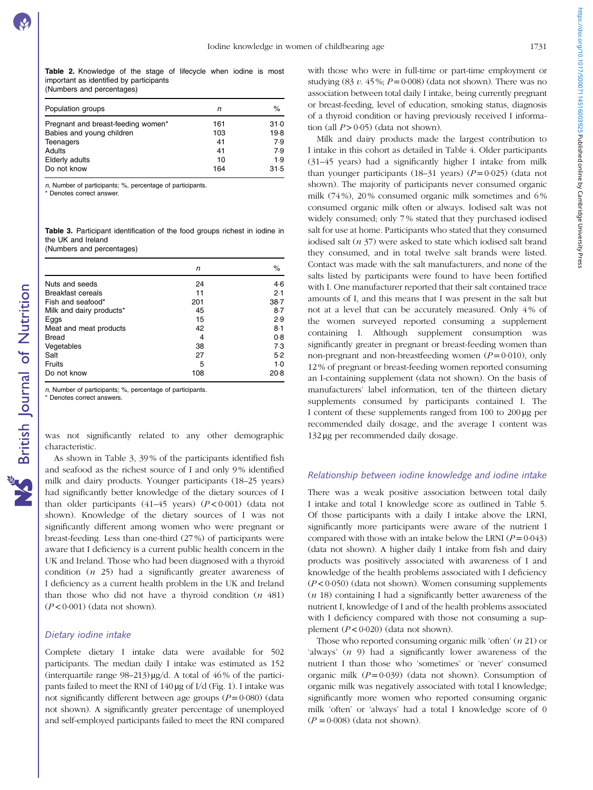<span id="page-3-0"></span>Table 2. Knowledge of the stage of lifecycle when iodine is most important as identified by participants (Numbers and percentages)

| Population groups                  | n   | %    |
|------------------------------------|-----|------|
| Pregnant and breast-feeding women* | 161 | 31.0 |
| Babies and young children          | 103 | 19.8 |
| Teenagers                          | 41  | 7.9  |
| Adults                             | 41  | 7.9  |
| Elderly adults                     | 10  | 1.9  |
| Do not know                        | 164 | 31.5 |

n, Number of participants; %, percentage of participants.

Denotes correct answer

Table 3. Participant identification of the food groups richest in iodine in the UK and Ireland

(Numbers and percentages)

|                          | n   | $\%$     |
|--------------------------|-----|----------|
| Nuts and seeds           | 24  | 4.6      |
| Breakfast cereals        | 11  | 2.1      |
| Fish and seafood*        | 201 | $38 - 7$ |
| Milk and dairy products* | 45  | 8.7      |
| Eggs                     | 15  | 2.9      |
| Meat and meat products   | 42  | $8-1$    |
| <b>Bread</b>             | 4   | 0.8      |
| Vegetables               | 38  | 7.3      |
| Salt                     | 27  | 5.2      |
| Fruits                   | 5   | 1.0      |
| Do not know              | 108 | $20-8$   |

n, Number of participants; %, percentage of participants.

Denotes correct answers.

was not significantly related to any other demographic characteristic.

As shown in Table 3, 39 % of the participants identified fish and seafood as the richest source of I and only 9% identified milk and dairy products. Younger participants (18–25 years) had significantly better knowledge of the dietary sources of I than older participants  $(41-45 \text{ years})$   $(P<0.001)$  (data not shown). Knowledge of the dietary sources of I was not significantly different among women who were pregnant or breast-feeding. Less than one-third (27 %) of participants were aware that I deficiency is a current public health concern in the UK and Ireland. Those who had been diagnosed with a thyroid condition  $(n \ 25)$  had a significantly greater awareness of I deficiency as a current health problem in the UK and Ireland than those who did not have a thyroid condition  $(n \ 481)$  $(P<0.001)$  (data not shown).

#### Dietary iodine intake

Complete dietary I intake data were available for 502 participants. The median daily I intake was estimated as 152 (interquartile range  $98-213$ )  $\mu$ g/d. A total of 46% of the participants failed to meet the RNI of 140 µg of I/d [\(Fig. 1](#page-4-0)). I intake was not significantly different between age groups  $(P=0.080)$  (data not shown). A significantly greater percentage of unemployed and self-employed participants failed to meet the RNI compared

with those who were in full-time or part-time employment or studying  $(83 \nu. 45\%; P=0.008)$  (data not shown). There was no association between total daily I intake, being currently pregnant or breast-feeding, level of education, smoking status, diagnosis of a thyroid condition or having previously received I information (all  $P > 0.05$ ) (data not shown).

Milk and dairy products made the largest contribution to I intake in this cohort as detailed in [Table 4](#page-4-0). Older participants (31–45 years) had a significantly higher I intake from milk than younger participants (18–31 years)  $(P= 0.025)$  (data not shown). The majority of participants never consumed organic milk (74 %), 20 % consumed organic milk sometimes and 6 % consumed organic milk often or always. Iodised salt was not widely consumed; only 7 % stated that they purchased iodised salt for use at home. Participants who stated that they consumed iodised salt  $(n 37)$  were asked to state which iodised salt brand they consumed, and in total twelve salt brands were listed. Contact was made with the salt manufacturers, and none of the salts listed by participants were found to have been fortified with I. One manufacturer reported that their salt contained trace amounts of I, and this means that I was present in the salt but not at a level that can be accurately measured. Only 4 % of the women surveyed reported consuming a supplement containing I. Although supplement consumption was significantly greater in pregnant or breast-feeding women than non-pregnant and non-breastfeeding women  $(P= 0.010)$ , only 12 % of pregnant or breast-feeding women reported consuming an I-containing supplement (data not shown). On the basis of manufacturers' label information, ten of the thirteen dietary supplements consumed by participants contained I. The I content of these supplements ranged from 100 to 200 µg per recommended daily dosage, and the average I content was 132 µg per recommended daily dosage.

## Relationship between iodine knowledge and iodine intake

There was a weak positive association between total daily I intake and total I knowledge score as outlined in [Table 5](#page-4-0). Of those participants with a daily I intake above the LRNI, significantly more participants were aware of the nutrient I compared with those with an intake below the LRNI  $(P = 0.043)$ (data not shown). A higher daily I intake from fish and dairy products was positively associated with awareness of I and knowledge of the health problems associated with I deficiency  $(P<0.050)$  (data not shown). Women consuming supplements  $(n 18)$  containing I had a significantly better awareness of the nutrient I, knowledge of I and of the health problems associated with I deficiency compared with those not consuming a supplement  $(P < 0.020)$  (data not shown).

Those who reported consuming organic milk 'often'  $(n 21)$  or 'always' (n 9) had a significantly lower awareness of the nutrient I than those who 'sometimes' or 'never' consumed organic milk  $(P=0.039)$  (data not shown). Consumption of organic milk was negatively associated with total I knowledge; significantly more women who reported consuming organic milk 'often' or 'always' had a total I knowledge score of 0  $(P = 0.008)$  (data not shown).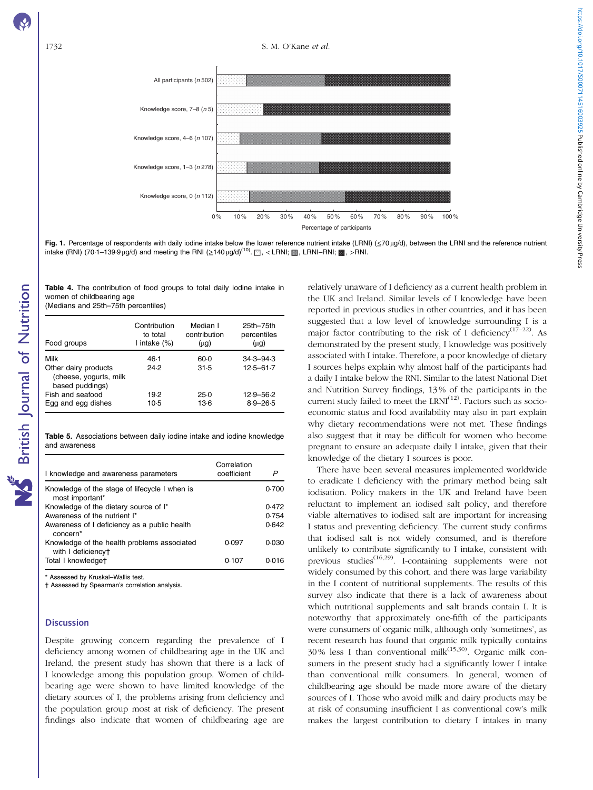<span id="page-4-0"></span>

Fig. 1. Percentage of respondents with daily iodine intake below the lower reference nutrient intake (LRNI)  $(\leq 70 \text{ µq/d})$ , between the LRNI and the reference nutrient intake (RNI) (70·1–139·9 µg/d) and meeting the RNI ( $\geq$ 140 µg/d)<sup>([10\)](#page-6-0)</sup>.  $\Box$ , <LRNI; , LRNI–RNI; , , >RNI.

Table 4. The contribution of food groups to total daily jodine intake in women of childbearing age

(Medians and 25th–75th percentiles)

| Food groups                                                               | Contribution    | Median I     | 25th-75th                      |
|---------------------------------------------------------------------------|-----------------|--------------|--------------------------------|
|                                                                           | to total        | contribution | percentiles                    |
|                                                                           | I intake $(\%)$ | $(\mu g)$    | $(\mu g)$                      |
| Milk<br>Other dairy products<br>(cheese, yogurts, milk<br>based puddings) | 46-1<br>24.2    | 60.0<br>31.5 | $34.3 - 94.3$<br>$12.5 - 61.7$ |
| Fish and seafood                                                          | 19.2            | 25.0         | 12-9-56-2                      |
| Egg and egg dishes                                                        | 10.5            | 13.6         | $8.9 - 26.5$                   |

Table 5. Associations between daily iodine intake and iodine knowledge and awareness

| I knowledge and awareness parameters                              | Correlation<br>coefficient | P     |
|-------------------------------------------------------------------|----------------------------|-------|
| Knowledge of the stage of lifecycle I when is<br>most important*  |                            | 0.700 |
| Knowledge of the dietary source of I*                             |                            | 0.472 |
| Awareness of the nutrient I*                                      |                            | 0.754 |
| Awareness of I deficiency as a public health<br>concern*          |                            | 0.642 |
| Knowledge of the health problems associated<br>with I deficiencyt | 0.097                      | 0.030 |
| Total I knowledget                                                | 0.107                      | 0.016 |

\* Assessed by Kruskal–Wallis test.

† Assessed by Spearman's correlation analysis.

#### **Discussion**

Despite growing concern regarding the prevalence of I deficiency among women of childbearing age in the UK and Ireland, the present study has shown that there is a lack of I knowledge among this population group. Women of childbearing age were shown to have limited knowledge of the dietary sources of I, the problems arising from deficiency and the population group most at risk of deficiency. The present findings also indicate that women of childbearing age are relatively unaware of I deficiency as a current health problem in the UK and Ireland. Similar levels of I knowledge have been reported in previous studies in other countries, and it has been suggested that a low level of knowledge surrounding I is a major factor contributing to the risk of I deficiency<sup>([17](#page-6-0)–[22](#page-6-0))</sup>. As demonstrated by the present study, I knowledge was positively associated with I intake. Therefore, a poor knowledge of dietary I sources helps explain why almost half of the participants had a daily I intake below the RNI. Similar to the latest National Diet and Nutrition Survey findings, 13 % of the participants in the current study failed to meet the  $LRNI^{(12)}$  $LRNI^{(12)}$  $LRNI^{(12)}$ . Factors such as socioeconomic status and food availability may also in part explain why dietary recommendations were not met. These findings also suggest that it may be difficult for women who become pregnant to ensure an adequate daily I intake, given that their knowledge of the dietary I sources is poor.

There have been several measures implemented worldwide to eradicate I deficiency with the primary method being salt iodisation. Policy makers in the UK and Ireland have been reluctant to implement an iodised salt policy, and therefore viable alternatives to iodised salt are important for increasing I status and preventing deficiency. The current study confirms that iodised salt is not widely consumed, and is therefore unlikely to contribute significantly to I intake, consistent with previous studies([16](#page-6-0),[29\)](#page-6-0). I-containing supplements were not widely consumed by this cohort, and there was large variability in the I content of nutritional supplements. The results of this survey also indicate that there is a lack of awareness about which nutritional supplements and salt brands contain I. It is noteworthy that approximately one-fifth of the participants were consumers of organic milk, although only 'sometimes', as recent research has found that organic milk typically contains  $30\%$  less I than conventional milk<sup> $(15,30)$  $(15,30)$ </sup>. Organic milk consumers in the present study had a significantly lower I intake than conventional milk consumers. In general, women of childbearing age should be made more aware of the dietary sources of I. Those who avoid milk and dairy products may be at risk of consuming insufficient I as conventional cow's milk makes the largest contribution to dietary I intakes in many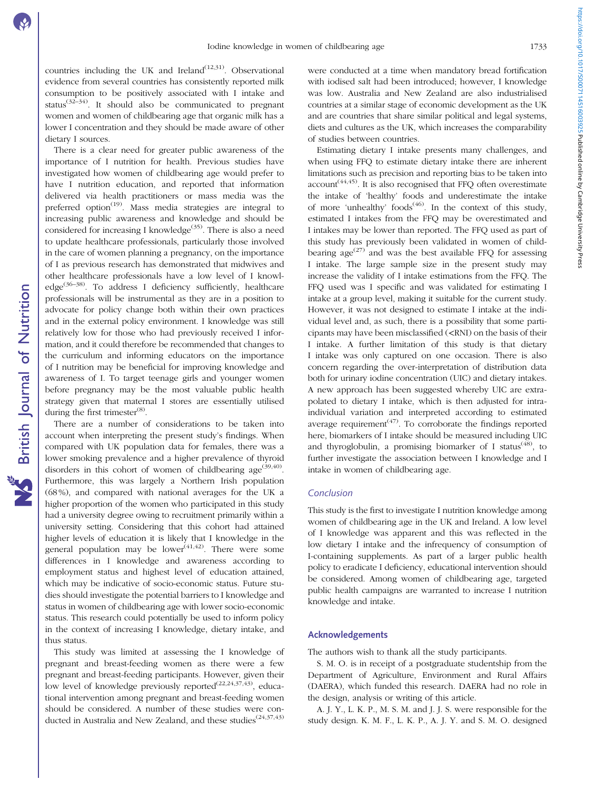countries including the UK and Ireland<sup> $(12,31)$  $(12,31)$ </sup>. Observational evidence from several countries has consistently reported milk consumption to be positively associated with I intake and status<sup>([32](#page-6-0)-[34\)](#page-7-0)</sup>. It should also be communicated to pregnant women and women of childbearing age that organic milk has a lower I concentration and they should be made aware of other dietary I sources.

There is a clear need for greater public awareness of the importance of I nutrition for health. Previous studies have investigated how women of childbearing age would prefer to have I nutrition education, and reported that information delivered via health practitioners or mass media was the preferred option<sup>([19](#page-6-0))</sup>. Mass media strategies are integral to increasing public awareness and knowledge and should be considered for increasing I knowledge<sup>[\(35](#page-7-0))</sup>. There is also a need to update healthcare professionals, particularly those involved in the care of women planning a pregnancy, on the importance of I as previous research has demonstrated that midwives and other healthcare professionals have a low level of I knowl-edge<sup>[\(36](#page-7-0)–[38](#page-7-0))</sup>. To address I deficiency sufficiently, healthcare professionals will be instrumental as they are in a position to advocate for policy change both within their own practices and in the external policy environment. I knowledge was still relatively low for those who had previously received I information, and it could therefore be recommended that changes to the curriculum and informing educators on the importance of I nutrition may be beneficial for improving knowledge and awareness of I. To target teenage girls and younger women before pregnancy may be the most valuable public health strategy given that maternal I stores are essentially utilised during the first trimester $^{(8)}$  $^{(8)}$  $^{(8)}$ .

There are a number of considerations to be taken into account when interpreting the present study's findings. When compared with UK population data for females, there was a lower smoking prevalence and a higher prevalence of thyroid disorders in this cohort of women of childbearing age<sup>([39,40\)](#page-7-0)</sup>. Furthermore, this was largely a Northern Irish population (68 %), and compared with national averages for the UK a higher proportion of the women who participated in this study had a university degree owing to recruitment primarily within a university setting. Considering that this cohort had attained higher levels of education it is likely that I knowledge in the general population may be lower<sup> $(41,42)$  $(41,42)$ </sup>. There were some differences in I knowledge and awareness according to employment status and highest level of education attained, which may be indicative of socio-economic status. Future studies should investigate the potential barriers to I knowledge and status in women of childbearing age with lower socio-economic status. This research could potentially be used to inform policy in the context of increasing I knowledge, dietary intake, and thus status.

This study was limited at assessing the I knowledge of pregnant and breast-feeding women as there were a few pregnant and breast-feeding participants. However, given their low level of knowledge previously reported<sup>([22](#page-6-0),[24](#page-6-0)[,37](#page-7-0),[43\)](#page-7-0)</sup>, educational intervention among pregnant and breast-feeding women should be considered. A number of these studies were conducted in Australia and New Zealand, and these studies<sup> $(24,37,43)$  $(24,37,43)$  $(24,37,43)$  $(24,37,43)$ </sup>

were conducted at a time when mandatory bread fortification with iodised salt had been introduced; however, I knowledge was low. Australia and New Zealand are also industrialised countries at a similar stage of economic development as the UK and are countries that share similar political and legal systems, diets and cultures as the UK, which increases the comparability of studies between countries.

Estimating dietary I intake presents many challenges, and when using FFQ to estimate dietary intake there are inherent limitations such as precision and reporting bias to be taken into  $account^{(44,45)}$  $account^{(44,45)}$  $account^{(44,45)}$  $account^{(44,45)}$  $account^{(44,45)}$ . It is also recognised that FFO often overestimate the intake of 'healthy' foods and underestimate the intake of more 'unhealthy' foods<sup> $(46)$  $(46)$ </sup>. In the context of this study, estimated I intakes from the FFQ may be overestimated and I intakes may be lower than reported. The FFQ used as part of this study has previously been validated in women of childbearing age<sup> $(27)$  $(27)$  $(27)$ </sup> and was the best available FFQ for assessing I intake. The large sample size in the present study may increase the validity of I intake estimations from the FFQ. The FFQ used was I specific and was validated for estimating I intake at a group level, making it suitable for the current study. However, it was not designed to estimate I intake at the individual level and, as such, there is a possibility that some participants may have been misclassified (<RNI) on the basis of their I intake. A further limitation of this study is that dietary I intake was only captured on one occasion. There is also concern regarding the over-interpretation of distribution data both for urinary iodine concentration (UIC) and dietary intakes. A new approach has been suggested whereby UIC are extrapolated to dietary I intake, which is then adjusted for intraindividual variation and interpreted according to estimated average requirement<sup> $(47)$ </sup>. To corroborate the findings reported here, biomarkers of I intake should be measured including UIC and thyroglobulin, a promising biomarker of I status<sup> $(48)$  $(48)$ </sup>, to further investigate the association between I knowledge and I intake in women of childbearing age.

#### Conclusion

This study is the first to investigate I nutrition knowledge among women of childbearing age in the UK and Ireland. A low level of I knowledge was apparent and this was reflected in the low dietary I intake and the infrequency of consumption of I-containing supplements. As part of a larger public health policy to eradicate I deficiency, educational intervention should be considered. Among women of childbearing age, targeted public health campaigns are warranted to increase I nutrition knowledge and intake.

#### Acknowledgements

The authors wish to thank all the study participants.

S. M. O. is in receipt of a postgraduate studentship from the Department of Agriculture, Environment and Rural Affairs (DAERA), which funded this research. DAERA had no role in the design, analysis or writing of this article.

A. J. Y., L. K. P., M. S. M. and J. J. S. were responsible for the study design. K. M. F., L. K. P., A. J. Y. and S. M. O. designed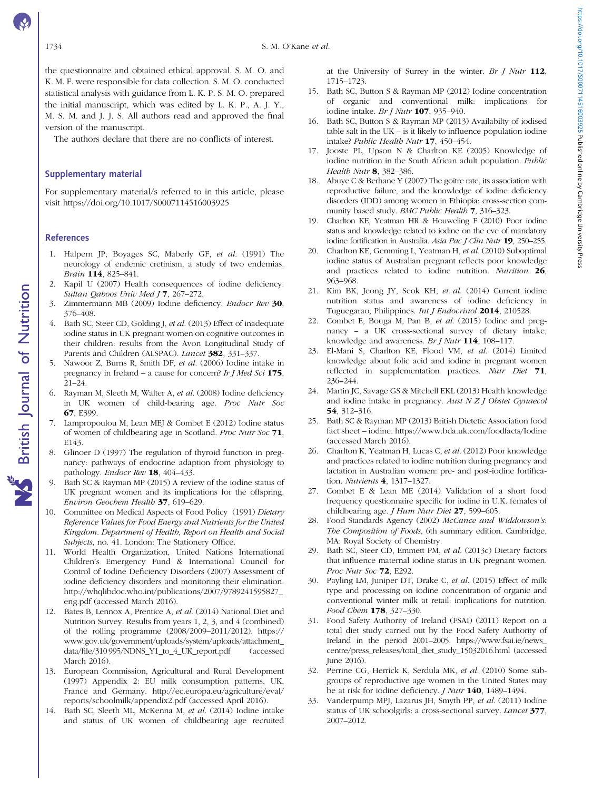<span id="page-6-0"></span>the questionnaire and obtained ethical approval. S. M. O. and K. M. F. were responsible for data collection. S. M. O. conducted statistical analysis with guidance from L. K. P. S. M. O. prepared the initial manuscript, which was edited by L. K. P., A. J. Y., M. S. M. and J. J. S. All authors read and approved the final version of the manuscript.

The authors declare that there are no conflicts of interest.

### Supplementary material

For supplementary material/s referred to in this article, please visit<https://doi.org/10.1017/S0007114516003925>

## References

- 1. Halpern JP, Boyages SC, Maberly GF, et al. (1991) The neurology of endemic cretinism, a study of two endemias. Brain 114, 825–841.
- 2. Kapil U (2007) Health consequences of iodine deficiency. Sultan Qaboos Univ Med [7, 267-272.
- 3. Zimmermann MB (2009) Iodine deficiency. Endocr Rev 30, 376–408.
- 4. Bath SC, Steer CD, Golding J, et al. (2013) Effect of inadequate iodine status in UK pregnant women on cognitive outcomes in their children: results from the Avon Longitudinal Study of Parents and Children (ALSPAC). Lancet 382, 331-337.
- 5. Nawoor Z, Burns R, Smith DF, et al. (2006) Iodine intake in pregnancy in Ireland – a cause for concern? Ir J Med Sci 175, 21–24.
- 6. Rayman M, Sleeth M, Walter A, et al. (2008) Iodine deficiency in UK women of child-bearing age. Proc Nutr Soc 67, E399.
- 7. Lampropoulou M, Lean MEJ & Combet E (2012) Iodine status of women of childbearing age in Scotland. Proc Nutr Soc 71, E143.
- 8. Glinoer D (1997) The regulation of thyroid function in pregnancy: pathways of endocrine adaption from physiology to pathology. Endocr Rev 18, 404–433.
- 9. Bath SC & Rayman MP (2015) A review of the iodine status of UK pregnant women and its implications for the offspring. Environ Geochem Health 37, 619–629.
- 10. Committee on Medical Aspects of Food Policy (1991) Dietary Reference Values for Food Energy and Nutrients for the United Kingdom. Department of Health, Report on Health and Social Subjects, no. 41. London: The Stationery Office.
- 11. World Health Organization, United Nations International Children's Emergency Fund & International Council for Control of Iodine Deficiency Disorders (2007) Assessment of iodine deficiency disorders and monitoring their elimination. [http://whqlibdoc.who.int/publications/2007/9789241595827\\_](http://whqlibdoc.who.int/publications/2007�/�9789241595827_eng.pdf) [eng.pdf](http://whqlibdoc.who.int/publications/2007�/�9789241595827_eng.pdf) (accessed March 2016).
- 12. Bates B, Lennox A, Prentice A, et al. (2014) National Diet and Nutrition Survey. Results from years 1, 2, 3, and 4 (combined) of the rolling programme (2008/2009–2011/2012). [https://](https://www.gov.uk/government/uploads/system/uploads/attachment_data/file/310&z_nbsp;995/NDNS_Y1_to_4_UK_report.pdf) [www.gov.uk/government/uploads/system/uploads/attachment\\_](https://www.gov.uk/government/uploads/system/uploads/attachment_data/file/310&z_nbsp;995/NDNS_Y1_to_4_UK_report.pdf) data/fi[le/310 995/NDNS\\_Y1\\_to\\_4\\_UK\\_report.pdf](https://www.gov.uk/government/uploads/system/uploads/attachment_data/file/310&z_nbsp;995/NDNS_Y1_to_4_UK_report.pdf) (accessed March 2016).
- 13. European Commission, Agricultural and Rural Development (1997) Appendix 2: EU milk consumption patterns, UK, France and Germany. [http://ec.europa.eu/agriculture/eval/](http://ec.europa.eu/agriculture/eval/reports/schoolmilk/appendix2.pdf) [reports/schoolmilk/appendix2.pdf](http://ec.europa.eu/agriculture/eval/reports/schoolmilk/appendix2.pdf) (accessed April 2016).
- 14. Bath SC, Sleeth ML, McKenna M, et al. (2014) Iodine intake and status of UK women of childbearing age recruited

at the University of Surrey in the winter. Br J Nutr 112, 1715–1723.

- 15. Bath SC, Button S & Rayman MP (2012) Iodine concentration of organic and conventional milk: implications for iodine intake. Br J Nutr 107, 935–940.
- 16. Bath SC, Button S & Rayman MP (2013) Availabilty of iodised table salt in the UK – is it likely to influence population iodine intake? Public Health Nutr 17, 450–454.
- 17. Jooste PL, Upson N & Charlton KE (2005) Knowledge of iodine nutrition in the South African adult population. Public Health Nutr 8, 382–386.
- 18. Abuye C & Berhane Y (2007) The goitre rate, its association with reproductive failure, and the knowledge of iodine deficiency disorders (IDD) among women in Ethiopia: cross-section community based study. BMC Public Health 7, 316–323.
- 19. Charlton KE, Yeatman HR & Houweling F (2010) Poor iodine status and knowledge related to iodine on the eve of mandatory iodine fortification in Australia. Asia Pac J Clin Nutr 19, 250-255.
- 20. Charlton KE, Gemming L, Yeatman H, et al. (2010) Suboptimal iodine status of Australian pregnant reflects poor knowledge and practices related to iodine nutrition. Nutrition 26, 963–968.
- 21. Kim BK, Jeong JY, Seok KH, et al. (2014) Current iodine nutrition status and awareness of iodine deficiency in Tuguegarao, Philippines. Int J Endocrinol 2014, 210528.
- 22. Combet E, Bouga M, Pan B, et al. (2015) Iodine and pregnancy – a UK cross-sectional survey of dietary intake, knowledge and awareness. Br J Nutr 114, 108-117.
- 23. El-Mani S, Charlton KE, Flood VM, et al. (2014) Limited knowledge about folic acid and iodine in pregnant women reflected in supplementation practices. Nutr Diet 71, 236–244.
- 24. Martin JC, Savage GS & Mitchell EKL (2013) Health knowledge and iodine intake in pregnancy. Aust N Z J Obstet Gynaecol 54, 312–316.
- 25. Bath SC & Rayman MP (2013) British Dietetic Association food fact sheet – iodine.<https://www.bda.uk.com/foodfacts/Iodine> (accessed March 2016).
- 26. Charlton K, Yeatman H, Lucas C, et al. (2012) Poor knowledge and practices related to iodine nutrition during pregnancy and lactation in Australian women: pre- and post-iodine fortification. Nutrients 4, 1317–1327.
- 27. Combet E & Lean ME (2014) Validation of a short food frequency questionnaire specific for iodine in U.K. females of childbearing age. *J Hum Nutr Diet* 27, 599-605.
- 28. Food Standards Agency (2002) McCance and Widdowson's: The Composition of Foods, 6th summary edition. Cambridge, MA: Royal Society of Chemistry.
- 29. Bath SC, Steer CD, Emmett PM, et al. (2013c) Dietary factors that influence maternal iodine status in UK pregnant women. Proc Nutr Soc 72, E292.
- 30. Payling LM, Juniper DT, Drake C, et al. (2015) Effect of milk type and processing on iodine concentration of organic and conventional winter milk at retail: implications for nutrition. Food Chem 178, 327–330.
- 31. Food Safety Authority of Ireland (FSAI) (2011) Report on a total diet study carried out by the Food Safety Authority of Ireland in the period 2001–2005. [https://www.fsai.ie/news\\_](https://www.fsai.ie/news_centre/press_releases/total_diet_study_15032016.html) [centre/press\\_releases/total\\_diet\\_study\\_15032016.html](https://www.fsai.ie/news_centre/press_releases/total_diet_study_15032016.html) (accessed June 2016).
- 32. Perrine CG, Herrick K, Serdula MK, et al. (2010) Some subgroups of reproductive age women in the United States may be at risk for iodine deficiency. J Nutr 140, 1489–1494.
- 33. Vanderpump MPJ, Lazarus JH, Smyth PP, et al. (2011) Iodine status of UK schoolgirls: a cross-sectional survey. Lancet 377, 2007–2012.